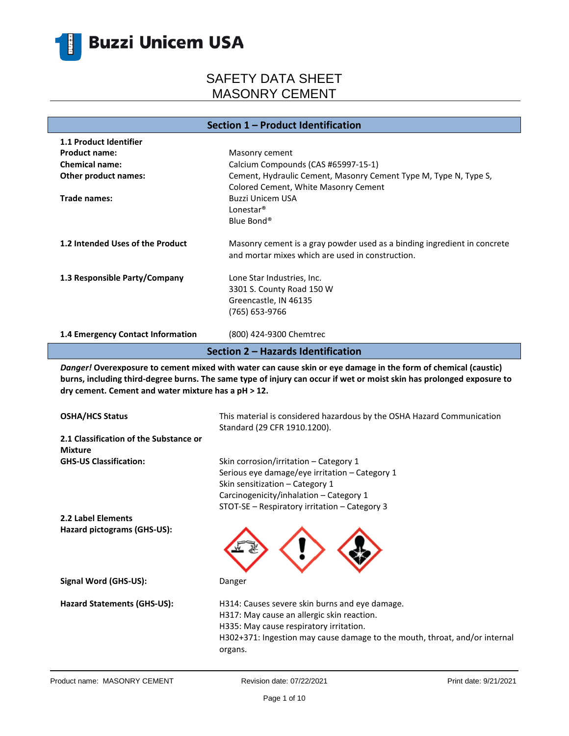

### **Section 1 – Product Identification**

| <b>1.1 Product Identifier</b>      |                                                                                                                                                                                                                                   |  |
|------------------------------------|-----------------------------------------------------------------------------------------------------------------------------------------------------------------------------------------------------------------------------------|--|
| <b>Product name:</b>               | Masonry cement                                                                                                                                                                                                                    |  |
| <b>Chemical name:</b>              | Calcium Compounds (CAS #65997-15-1)                                                                                                                                                                                               |  |
| <b>Other product names:</b>        | Cement, Hydraulic Cement, Masonry Cement Type M, Type N, Type S,                                                                                                                                                                  |  |
|                                    | Colored Cement, White Masonry Cement                                                                                                                                                                                              |  |
| Trade names:                       | <b>Buzzi Unicem USA</b>                                                                                                                                                                                                           |  |
|                                    | Lonestar <sup>®</sup>                                                                                                                                                                                                             |  |
|                                    | Blue Bond®                                                                                                                                                                                                                        |  |
| 1.2 Intended Uses of the Product   | Masonry cement is a gray powder used as a binding ingredient in concrete                                                                                                                                                          |  |
|                                    | and mortar mixes which are used in construction.                                                                                                                                                                                  |  |
| 1.3 Responsible Party/Company      | Lone Star Industries, Inc.                                                                                                                                                                                                        |  |
|                                    | 3301 S. County Road 150 W                                                                                                                                                                                                         |  |
|                                    | Greencastle, IN 46135                                                                                                                                                                                                             |  |
|                                    | (765) 653-9766                                                                                                                                                                                                                    |  |
| 1.4 Emergency Contact Information  | (800) 424-9300 Chemtrec                                                                                                                                                                                                           |  |
| Section 2 - Hazards Identification |                                                                                                                                                                                                                                   |  |
|                                    | $\mathbf{r}$ . The contract of the contract of the contract of the contract of the contract of the contract of the contract of the contract of the contract of the contract of the contract of the contract of the contract of th |  |

*Danger!* **Overexposure to cement mixed with water can cause skin or eye damage in the form of chemical (caustic) burns, including third-degree burns. The same type of injury can occur if wet or moist skin has prolonged exposure to dry cement. Cement and water mixture has a pH ˃ 12.**

| <b>OSHA/HCS Status</b>                                   | This material is considered hazardous by the OSHA Hazard Communication<br>Standard (29 CFR 1910.1200).                                                                                                                           |
|----------------------------------------------------------|----------------------------------------------------------------------------------------------------------------------------------------------------------------------------------------------------------------------------------|
| 2.1 Classification of the Substance or<br><b>Mixture</b> |                                                                                                                                                                                                                                  |
| <b>GHS-US Classification:</b>                            | Skin corrosion/irritation – Category 1<br>Serious eye damage/eye irritation - Category 1<br>Skin sensitization - Category 1<br>Carcinogenicity/inhalation - Category 1<br>STOT-SE – Respiratory irritation – Category 3          |
| 2.2 Label Elements                                       |                                                                                                                                                                                                                                  |
| Hazard pictograms (GHS-US):                              |                                                                                                                                                                                                                                  |
| Signal Word (GHS-US):                                    | Danger                                                                                                                                                                                                                           |
| <b>Hazard Statements (GHS-US):</b>                       | H314: Causes severe skin burns and eye damage.<br>H317: May cause an allergic skin reaction.<br>H335: May cause respiratory irritation.<br>H302+371: Ingestion may cause damage to the mouth, throat, and/or internal<br>organs. |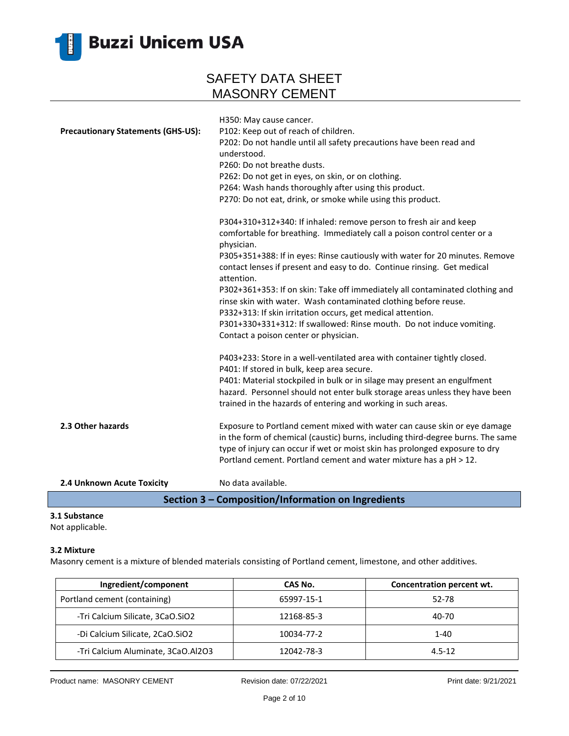

| <b>Precautionary Statements (GHS-US):</b> | H350: May cause cancer.<br>P102: Keep out of reach of children.<br>P202: Do not handle until all safety precautions have been read and<br>understood.<br>P260: Do not breathe dusts.<br>P262: Do not get in eyes, on skin, or on clothing.<br>P264: Wash hands thoroughly after using this product.<br>P270: Do not eat, drink, or smoke while using this product.<br>P304+310+312+340: If inhaled: remove person to fresh air and keep<br>comfortable for breathing. Immediately call a poison control center or a<br>physician.<br>P305+351+388: If in eyes: Rinse cautiously with water for 20 minutes. Remove<br>contact lenses if present and easy to do. Continue rinsing. Get medical<br>attention.<br>P302+361+353: If on skin: Take off immediately all contaminated clothing and<br>rinse skin with water. Wash contaminated clothing before reuse.<br>P332+313: If skin irritation occurs, get medical attention.<br>P301+330+331+312: If swallowed: Rinse mouth. Do not induce vomiting.<br>Contact a poison center or physician. |
|-------------------------------------------|-----------------------------------------------------------------------------------------------------------------------------------------------------------------------------------------------------------------------------------------------------------------------------------------------------------------------------------------------------------------------------------------------------------------------------------------------------------------------------------------------------------------------------------------------------------------------------------------------------------------------------------------------------------------------------------------------------------------------------------------------------------------------------------------------------------------------------------------------------------------------------------------------------------------------------------------------------------------------------------------------------------------------------------------------|
| 2.3 Other hazards                         | P403+233: Store in a well-ventilated area with container tightly closed.<br>P401: If stored in bulk, keep area secure.<br>P401: Material stockpiled in bulk or in silage may present an engulfment<br>hazard. Personnel should not enter bulk storage areas unless they have been<br>trained in the hazards of entering and working in such areas.<br>Exposure to Portland cement mixed with water can cause skin or eye damage<br>in the form of chemical (caustic) burns, including third-degree burns. The same                                                                                                                                                                                                                                                                                                                                                                                                                                                                                                                            |
| 2.4 Unknown Acute Toxicity                | type of injury can occur if wet or moist skin has prolonged exposure to dry<br>Portland cement. Portland cement and water mixture has a pH > 12.<br>No data available.<br>Costian 2. Composition/Information on Ingradiants                                                                                                                                                                                                                                                                                                                                                                                                                                                                                                                                                                                                                                                                                                                                                                                                                   |

### **Section 3 – Composition/Information on Ingredients**

### **3.1 Substance**

Not applicable.

#### **3.2 Mixture**

Masonry cement is a mixture of blended materials consisting of Portland cement, limestone, and other additives.

| Ingredient/component               | CAS No.    | Concentration percent wt. |
|------------------------------------|------------|---------------------------|
| Portland cement (containing)       | 65997-15-1 | 52-78                     |
| -Tri Calcium Silicate, 3CaO.SiO2   | 12168-85-3 | 40-70                     |
| -Di Calcium Silicate, 2CaO.SiO2    | 10034-77-2 | 1-40                      |
| -Tri Calcium Aluminate, 3CaO.Al2O3 | 12042-78-3 | $4.5 - 12$                |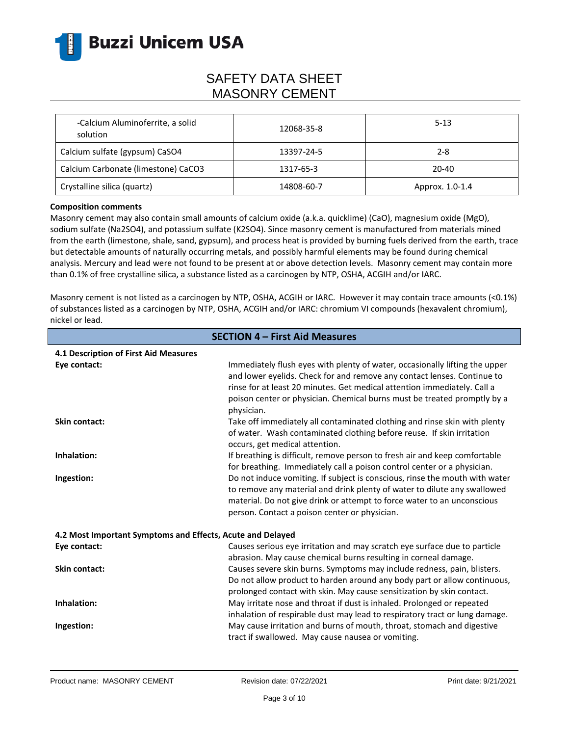

| -Calcium Aluminoferrite, a solid<br>solution | 12068-35-8 | $5 - 13$        |
|----------------------------------------------|------------|-----------------|
| Calcium sulfate (gypsum) CaSO4               | 13397-24-5 | $2 - 8$         |
| Calcium Carbonate (limestone) CaCO3          | 1317-65-3  | 20-40           |
| Crystalline silica (quartz)                  | 14808-60-7 | Approx. 1.0-1.4 |

#### **Composition comments**

Masonry cement may also contain small amounts of calcium oxide (a.k.a. quicklime) (CaO), magnesium oxide (MgO), sodium sulfate (Na2SO4), and potassium sulfate (K2SO4). Since masonry cement is manufactured from materials mined from the earth (limestone, shale, sand, gypsum), and process heat is provided by burning fuels derived from the earth, trace but detectable amounts of naturally occurring metals, and possibly harmful elements may be found during chemical analysis. Mercury and lead were not found to be present at or above detection levels. Masonry cement may contain more than 0.1% of free crystalline silica, a substance listed as a carcinogen by NTP, OSHA, ACGIH and/or IARC.

Masonry cement is not listed as a carcinogen by NTP, OSHA, ACGIH or IARC. However it may contain trace amounts (<0.1%) of substances listed as a carcinogen by NTP, OSHA, ACGIH and/or IARC: chromium VI compounds (hexavalent chromium), nickel or lead.

| <b>SECTION 4 - First Aid Measures</b>                      |                                                                                                                                                                                                                                                                                                                              |  |
|------------------------------------------------------------|------------------------------------------------------------------------------------------------------------------------------------------------------------------------------------------------------------------------------------------------------------------------------------------------------------------------------|--|
| 4.1 Description of First Aid Measures                      |                                                                                                                                                                                                                                                                                                                              |  |
| Eye contact:                                               | Immediately flush eyes with plenty of water, occasionally lifting the upper<br>and lower eyelids. Check for and remove any contact lenses. Continue to<br>rinse for at least 20 minutes. Get medical attention immediately. Call a<br>poison center or physician. Chemical burns must be treated promptly by a<br>physician. |  |
| <b>Skin contact:</b>                                       | Take off immediately all contaminated clothing and rinse skin with plenty<br>of water. Wash contaminated clothing before reuse. If skin irritation<br>occurs, get medical attention.                                                                                                                                         |  |
| Inhalation:                                                | If breathing is difficult, remove person to fresh air and keep comfortable<br>for breathing. Immediately call a poison control center or a physician.                                                                                                                                                                        |  |
| Ingestion:                                                 | Do not induce vomiting. If subject is conscious, rinse the mouth with water<br>to remove any material and drink plenty of water to dilute any swallowed<br>material. Do not give drink or attempt to force water to an unconscious<br>person. Contact a poison center or physician.                                          |  |
| 4.2 Most Important Symptoms and Effects, Acute and Delayed |                                                                                                                                                                                                                                                                                                                              |  |
| Eye contact:                                               | Causes serious eye irritation and may scratch eye surface due to particle<br>abrasion. May cause chemical burns resulting in corneal damage.                                                                                                                                                                                 |  |
| <b>Skin contact:</b>                                       | Causes severe skin burns. Symptoms may include redness, pain, blisters.<br>Do not allow product to harden around any body part or allow continuous,<br>prolonged contact with skin. May cause sensitization by skin contact.                                                                                                 |  |
| Inhalation:                                                | May irritate nose and throat if dust is inhaled. Prolonged or repeated<br>inhalation of respirable dust may lead to respiratory tract or lung damage.                                                                                                                                                                        |  |
| Ingestion:                                                 | May cause irritation and burns of mouth, throat, stomach and digestive<br>tract if swallowed. May cause nausea or vomiting.                                                                                                                                                                                                  |  |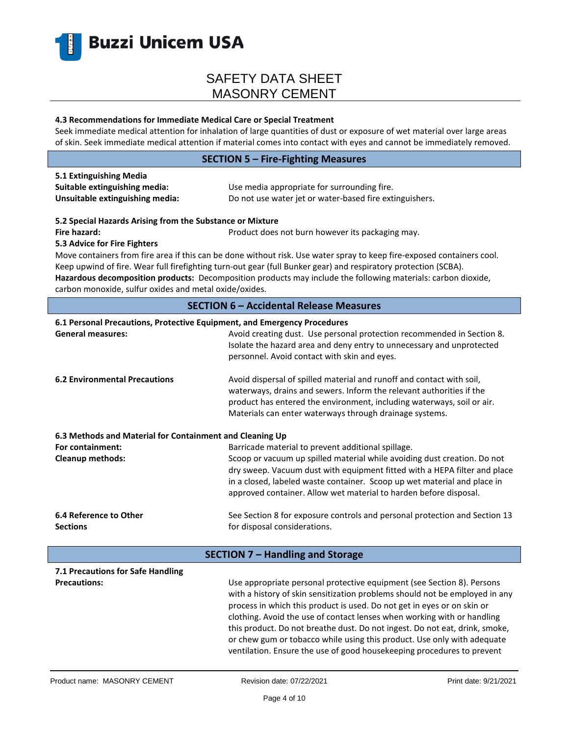

#### **4.3 Recommendations for Immediate Medical Care or Special Treatment**

Seek immediate medical attention for inhalation of large quantities of dust or exposure of wet material over large areas of skin. Seek immediate medical attention if material comes into contact with eyes and cannot be immediately removed.

### **SECTION 5 – Fire-Fighting Measures**

| 5.1 Extinguishing Media         |                                                         |
|---------------------------------|---------------------------------------------------------|
| Suitable extinguishing media:   | Use media appropriate for surrounding fire.             |
| Unsuitable extinguishing media: | Do not use water jet or water-based fire extinguishers. |

### **5.2 Special Hazards Arising from the Substance or Mixture**

**Fire hazard: Product does not burn however its packaging may.** Product does not burn however its packaging may.

### **5.3 Advice for Fire Fighters**

Move containers from fire area if this can be done without risk. Use water spray to keep fire-exposed containers cool. Keep upwind of fire. Wear full firefighting turn-out gear (full Bunker gear) and respiratory protection (SCBA). **Hazardous decomposition products:** Decomposition products may include the following materials: carbon dioxide, carbon monoxide, sulfur oxides and metal oxide/oxides.

### **SECTION 6 – Accidental Release Measures**

### **6.1 Personal Precautions, Protective Equipment, and Emergency Procedures**

| <b>General measures:</b>                                 | Avoid creating dust. Use personal protection recommended in Section 8.<br>Isolate the hazard area and deny entry to unnecessary and unprotected<br>personnel. Avoid contact with skin and eyes.                                                                                                        |
|----------------------------------------------------------|--------------------------------------------------------------------------------------------------------------------------------------------------------------------------------------------------------------------------------------------------------------------------------------------------------|
| <b>6.2 Environmental Precautions</b>                     | Avoid dispersal of spilled material and runoff and contact with soil,<br>waterways, drains and sewers. Inform the relevant authorities if the<br>product has entered the environment, including waterways, soil or air.<br>Materials can enter waterways through drainage systems.                     |
| 6.3 Methods and Material for Containment and Cleaning Up |                                                                                                                                                                                                                                                                                                        |
| For containment:                                         | Barricade material to prevent additional spillage.                                                                                                                                                                                                                                                     |
| <b>Cleanup methods:</b>                                  | Scoop or vacuum up spilled material while avoiding dust creation. Do not<br>dry sweep. Vacuum dust with equipment fitted with a HEPA filter and place<br>in a closed, labeled waste container. Scoop up wet material and place in<br>approved container. Allow wet material to harden before disposal. |
| 6.4 Reference to Other                                   | See Section 8 for exposure controls and personal protection and Section 13                                                                                                                                                                                                                             |
| <b>Sections</b>                                          | for disposal considerations.                                                                                                                                                                                                                                                                           |
|                                                          | SECTION 7 - Handling and Storage                                                                                                                                                                                                                                                                       |
| 7.1 Precautions for Safe Handling<br><b>Precautions:</b> | Use appropriate personal protective equipment (see Section 8). Persons                                                                                                                                                                                                                                 |

with a history of skin sensitization problems should not be employed in any process in which this product is used. Do not get in eyes or on skin or clothing. Avoid the use of contact lenses when working with or handling this product. Do not breathe dust. Do not ingest. Do not eat, drink, smoke, or chew gum or tobacco while using this product. Use only with adequate ventilation. Ensure the use of good housekeeping procedures to prevent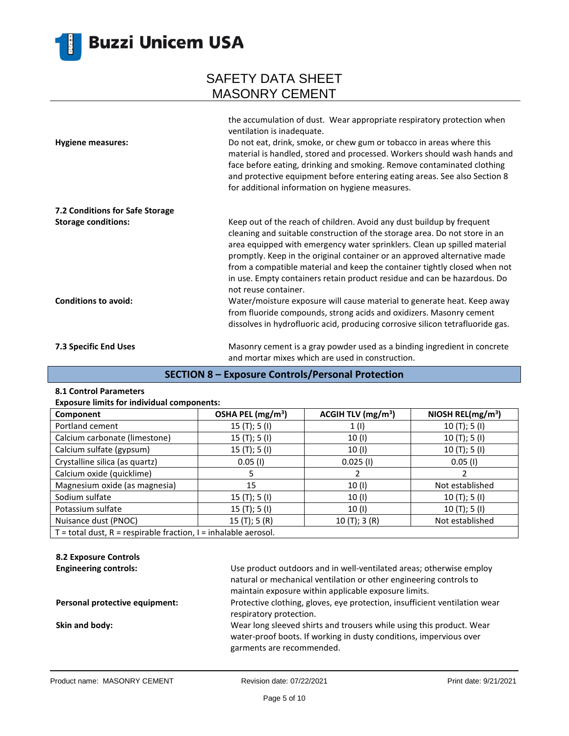

| <b>Hygiene measures:</b>        | the accumulation of dust. Wear appropriate respiratory protection when<br>ventilation is inadequate.<br>Do not eat, drink, smoke, or chew gum or tobacco in areas where this<br>material is handled, stored and processed. Workers should wash hands and<br>face before eating, drinking and smoking. Remove contaminated clothing<br>and protective equipment before entering eating areas. See also Section 8<br>for additional information on hygiene measures.                           |
|---------------------------------|----------------------------------------------------------------------------------------------------------------------------------------------------------------------------------------------------------------------------------------------------------------------------------------------------------------------------------------------------------------------------------------------------------------------------------------------------------------------------------------------|
| 7.2 Conditions for Safe Storage |                                                                                                                                                                                                                                                                                                                                                                                                                                                                                              |
| <b>Storage conditions:</b>      | Keep out of the reach of children. Avoid any dust buildup by frequent<br>cleaning and suitable construction of the storage area. Do not store in an<br>area equipped with emergency water sprinklers. Clean up spilled material<br>promptly. Keep in the original container or an approved alternative made<br>from a compatible material and keep the container tightly closed when not<br>in use. Empty containers retain product residue and can be hazardous. Do<br>not reuse container. |
| <b>Conditions to avoid:</b>     | Water/moisture exposure will cause material to generate heat. Keep away<br>from fluoride compounds, strong acids and oxidizers. Masonry cement<br>dissolves in hydrofluoric acid, producing corrosive silicon tetrafluoride gas.                                                                                                                                                                                                                                                             |
| 7.3 Specific End Uses           | Masonry cement is a gray powder used as a binding ingredient in concrete<br>and mortar mixes which are used in construction.                                                                                                                                                                                                                                                                                                                                                                 |

## **SECTION 8 – Exposure Controls/Personal Protection**

#### **8.1 Control Parameters**

| <b>Exposure limits for individual components:</b> |  |  |  |
|---------------------------------------------------|--|--|--|
|---------------------------------------------------|--|--|--|

| Component                                                             | OSHA PEL $(mg/m3)$ | ACGIH TLV $(mg/m3)$ | NIOSH REL( $mg/m3$ ) |  |
|-----------------------------------------------------------------------|--------------------|---------------------|----------------------|--|
| Portland cement                                                       | 15 $(T);$ 5 $(I)$  | 1(1)                | 10(T); 5(I)          |  |
| Calcium carbonate (limestone)                                         | 15 $(T);$ 5 $(I)$  | 10(1)               | 10(T); 5(I)          |  |
| Calcium sulfate (gypsum)                                              | 15 $(T);$ 5 $(I)$  | 10 (I)              | 10(T); 5(I)          |  |
| Crystalline silica (as quartz)                                        | $0.05$ (I)         | $0.025$ (I)         | $0.05$ (I)           |  |
| Calcium oxide (quicklime)                                             |                    |                     |                      |  |
| Magnesium oxide (as magnesia)                                         | 15                 | 10(1)               | Not established      |  |
| Sodium sulfate                                                        | 15(T); 5(I)        | 10(1)               | 10(T); 5(I)          |  |
| Potassium sulfate                                                     | 15(T); 5(I)        | 10 (I)              | 10(T); 5(I)          |  |
| Nuisance dust (PNOC)                                                  | 15(T); 5(R)        | 10(T); 3(R)         | Not established      |  |
| $T =$ total dust, $R =$ respirable fraction, $I =$ inhalable aerosol. |                    |                     |                      |  |

## **8.2 Exposure Controls**

| <b>Engineering controls:</b>   | Use product outdoors and in well-ventilated areas; otherwise employ<br>natural or mechanical ventilation or other engineering controls to                               |
|--------------------------------|-------------------------------------------------------------------------------------------------------------------------------------------------------------------------|
|                                | maintain exposure within applicable exposure limits.                                                                                                                    |
| Personal protective equipment: | Protective clothing, gloves, eye protection, insufficient ventilation wear<br>respiratory protection.                                                                   |
| Skin and body:                 | Wear long sleeved shirts and trousers while using this product. Wear<br>water-proof boots. If working in dusty conditions, impervious over<br>garments are recommended. |
|                                |                                                                                                                                                                         |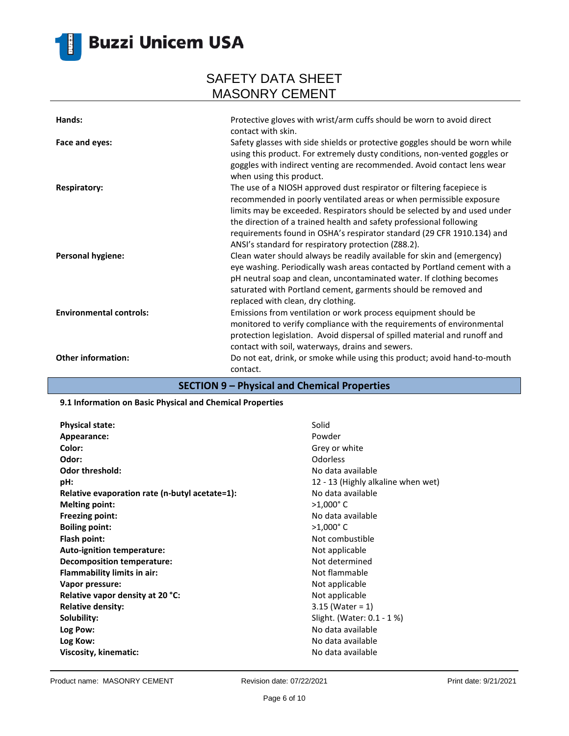

# **Buzzi Unicem USA**

## SAFETY DATA SHEET MASONRY CEMENT

| Hands:                                | Protective gloves with wrist/arm cuffs should be worn to avoid direct<br>contact with skin.                                                                                                                                                                                                                                                                                                                                                                                                                                                                                       |
|---------------------------------------|-----------------------------------------------------------------------------------------------------------------------------------------------------------------------------------------------------------------------------------------------------------------------------------------------------------------------------------------------------------------------------------------------------------------------------------------------------------------------------------------------------------------------------------------------------------------------------------|
| Face and eyes:<br><b>Respiratory:</b> | Safety glasses with side shields or protective goggles should be worn while<br>using this product. For extremely dusty conditions, non-vented goggles or<br>goggles with indirect venting are recommended. Avoid contact lens wear<br>when using this product.<br>The use of a NIOSH approved dust respirator or filtering facepiece is<br>recommended in poorly ventilated areas or when permissible exposure                                                                                                                                                                    |
| <b>Personal hygiene:</b>              | limits may be exceeded. Respirators should be selected by and used under<br>the direction of a trained health and safety professional following<br>requirements found in OSHA's respirator standard (29 CFR 1910.134) and<br>ANSI's standard for respiratory protection (Z88.2).<br>Clean water should always be readily available for skin and (emergency)<br>eye washing. Periodically wash areas contacted by Portland cement with a<br>pH neutral soap and clean, uncontaminated water. If clothing becomes<br>saturated with Portland cement, garments should be removed and |
| <b>Environmental controls:</b>        | replaced with clean, dry clothing.<br>Emissions from ventilation or work process equipment should be<br>monitored to verify compliance with the requirements of environmental<br>protection legislation. Avoid dispersal of spilled material and runoff and                                                                                                                                                                                                                                                                                                                       |
| <b>Other information:</b>             | contact with soil, waterways, drains and sewers.<br>Do not eat, drink, or smoke while using this product; avoid hand-to-mouth<br>contact.                                                                                                                                                                                                                                                                                                                                                                                                                                         |

### **SECTION 9 – Physical and Chemical Properties**

### **9.1 Information on Basic Physical and Chemical Properties**

| <b>Physical state:</b>                         | Solid            |
|------------------------------------------------|------------------|
| Appearance:                                    | Powder           |
| Color:                                         | Grey or          |
| Odor:                                          | Odorles          |
| <b>Odor threshold:</b>                         | No data          |
| pH:                                            | $12 - 13$        |
| Relative evaporation rate (n-butyl acetate=1): | No data          |
| <b>Melting point:</b>                          | $>1,000$ °       |
| <b>Freezing point:</b>                         | No data          |
| <b>Boiling point:</b>                          | $>1,000^{\circ}$ |
| Flash point:                                   | Not con          |
| Auto-ignition temperature:                     | Not app          |
| Decomposition temperature:                     | Not det          |
| Flammability limits in air:                    | Not flar         |
| Vapor pressure:                                | Not app          |
| Relative vapor density at 20 °C:               | Not app          |
| <b>Relative density:</b>                       | $3.15$ (W        |
| Solubility:                                    | Slight. (        |
| Log Pow:                                       | No data          |
| Log Kow:                                       | No data          |
| Viscosity, kinematic:                          | No data          |

**Grey or white Odor:** Odorless No data available 12 - 13 (Highly alkaline when wet) **No data available Melting point:** >1,000° C **Freezing point:** No data available **Boiling point:** >1,000° C **Flash point:** Not combustible **Not applicable Not determined Not flammable Not applicable Not applicable Relative density:** 3.15 (Water = 1) Slight. (Water: 0.1 - 1 %) **Log Pow:** No data available **Log Kow:** No data available **Viscosity, kinematic:** No data available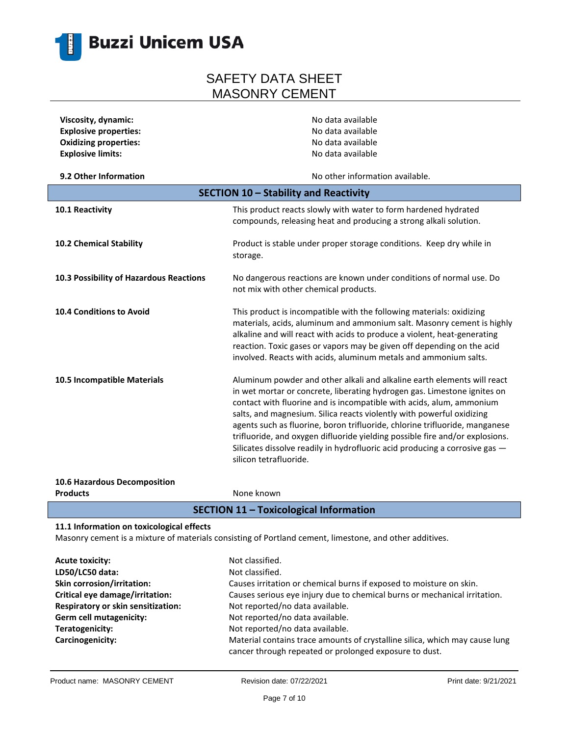

| Viscosity, dynamic:                     | No data available                                                                                                                                                                                                                                                                                                                                                                                                                                                                                                                                                            |  |
|-----------------------------------------|------------------------------------------------------------------------------------------------------------------------------------------------------------------------------------------------------------------------------------------------------------------------------------------------------------------------------------------------------------------------------------------------------------------------------------------------------------------------------------------------------------------------------------------------------------------------------|--|
| <b>Explosive properties:</b>            | No data available                                                                                                                                                                                                                                                                                                                                                                                                                                                                                                                                                            |  |
| <b>Oxidizing properties:</b>            | No data available                                                                                                                                                                                                                                                                                                                                                                                                                                                                                                                                                            |  |
| <b>Explosive limits:</b>                | No data available                                                                                                                                                                                                                                                                                                                                                                                                                                                                                                                                                            |  |
| 9.2 Other Information                   | No other information available.                                                                                                                                                                                                                                                                                                                                                                                                                                                                                                                                              |  |
| SECTION 10 - Stability and Reactivity   |                                                                                                                                                                                                                                                                                                                                                                                                                                                                                                                                                                              |  |
| 10.1 Reactivity                         | This product reacts slowly with water to form hardened hydrated<br>compounds, releasing heat and producing a strong alkali solution.                                                                                                                                                                                                                                                                                                                                                                                                                                         |  |
| 10.2 Chemical Stability                 | Product is stable under proper storage conditions. Keep dry while in<br>storage.                                                                                                                                                                                                                                                                                                                                                                                                                                                                                             |  |
| 10.3 Possibility of Hazardous Reactions | No dangerous reactions are known under conditions of normal use. Do<br>not mix with other chemical products.                                                                                                                                                                                                                                                                                                                                                                                                                                                                 |  |
| <b>10.4 Conditions to Avoid</b>         | This product is incompatible with the following materials: oxidizing<br>materials, acids, aluminum and ammonium salt. Masonry cement is highly<br>alkaline and will react with acids to produce a violent, heat-generating<br>reaction. Toxic gases or vapors may be given off depending on the acid<br>involved. Reacts with acids, aluminum metals and ammonium salts.                                                                                                                                                                                                     |  |
| 10.5 Incompatible Materials             | Aluminum powder and other alkali and alkaline earth elements will react<br>in wet mortar or concrete, liberating hydrogen gas. Limestone ignites on<br>contact with fluorine and is incompatible with acids, alum, ammonium<br>salts, and magnesium. Silica reacts violently with powerful oxidizing<br>agents such as fluorine, boron trifluoride, chlorine trifluoride, manganese<br>trifluoride, and oxygen difluoride yielding possible fire and/or explosions.<br>Silicates dissolve readily in hydrofluoric acid producing a corrosive gas -<br>silicon tetrafluoride. |  |

**10.6 Hazardous Decomposition Products** None known

### **SECTION 11 – Toxicological Information**

### **11.1 Information on toxicological effects**

Masonry cement is a mixture of materials consisting of Portland cement, limestone, and other additives.

| <b>Acute toxicity:</b>             | Not classified.                                                             |
|------------------------------------|-----------------------------------------------------------------------------|
| LD50/LC50 data:                    | Not classified.                                                             |
| Skin corrosion/irritation:         | Causes irritation or chemical burns if exposed to moisture on skin.         |
| Critical eye damage/irritation:    | Causes serious eye injury due to chemical burns or mechanical irritation.   |
| Respiratory or skin sensitization: | Not reported/no data available.                                             |
| Germ cell mutagenicity:            | Not reported/no data available.                                             |
| Teratogenicity:                    | Not reported/no data available.                                             |
| Carcinogenicity:                   | Material contains trace amounts of crystalline silica, which may cause lung |
|                                    | cancer through repeated or prolonged exposure to dust.                      |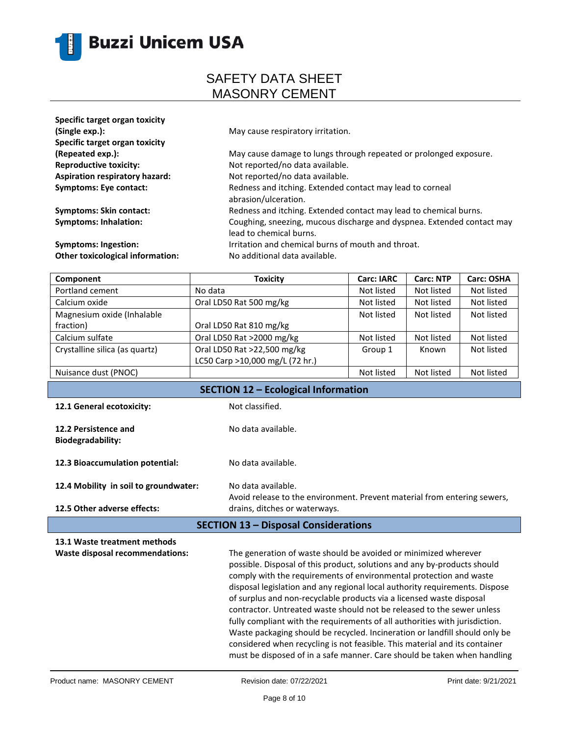

| Specific target organ toxicity<br>(Single exp.):<br>Specific target organ toxicity | May cause respiratory irritation.                                                                 |
|------------------------------------------------------------------------------------|---------------------------------------------------------------------------------------------------|
| (Repeated exp.):                                                                   | May cause damage to lungs through repeated or prolonged exposure.                                 |
| <b>Reproductive toxicity:</b>                                                      | Not reported/no data available.                                                                   |
| <b>Aspiration respiratory hazard:</b>                                              | Not reported/no data available.                                                                   |
| <b>Symptoms: Eye contact:</b>                                                      | Redness and itching. Extended contact may lead to corneal<br>abrasion/ulceration.                 |
| <b>Symptoms: Skin contact:</b>                                                     | Redness and itching. Extended contact may lead to chemical burns.                                 |
| <b>Symptoms: Inhalation:</b>                                                       | Coughing, sneezing, mucous discharge and dyspnea. Extended contact may<br>lead to chemical burns. |
| <b>Symptoms: Ingestion:</b>                                                        | Irritation and chemical burns of mouth and throat.                                                |
| Other toxicological information:                                                   | No additional data available.                                                                     |

| <b>Toxicity</b>                 | <b>Carc: IARC</b> | <b>Carc: NTP</b> | <b>Carc: OSHA</b> |
|---------------------------------|-------------------|------------------|-------------------|
| No data                         | Not listed        | Not listed       | Not listed        |
| Oral LD50 Rat 500 mg/kg         | Not listed        | Not listed       | Not listed        |
|                                 | Not listed        | Not listed       | Not listed        |
| Oral LD50 Rat 810 mg/kg         |                   |                  |                   |
| Oral LD50 Rat >2000 mg/kg       | Not listed        | Not listed       | Not listed        |
| Oral LD50 Rat >22,500 mg/kg     | Group 1           | Known            | Not listed        |
| LC50 Carp >10,000 mg/L (72 hr.) |                   |                  |                   |
|                                 | Not listed        | Not listed       | Not listed        |
|                                 |                   |                  |                   |

| SECTION 12 - Ecological Information              |                                                                                                                                                                                                                                                                                                                                                                                                                                                                                                                                                                                                                                                                                                                                                                            |
|--------------------------------------------------|----------------------------------------------------------------------------------------------------------------------------------------------------------------------------------------------------------------------------------------------------------------------------------------------------------------------------------------------------------------------------------------------------------------------------------------------------------------------------------------------------------------------------------------------------------------------------------------------------------------------------------------------------------------------------------------------------------------------------------------------------------------------------|
| 12.1 General ecotoxicity:                        | Not classified.                                                                                                                                                                                                                                                                                                                                                                                                                                                                                                                                                                                                                                                                                                                                                            |
| 12.2 Persistence and<br><b>Biodegradability:</b> | No data available.                                                                                                                                                                                                                                                                                                                                                                                                                                                                                                                                                                                                                                                                                                                                                         |
| 12.3 Bioaccumulation potential:                  | No data available.                                                                                                                                                                                                                                                                                                                                                                                                                                                                                                                                                                                                                                                                                                                                                         |
| 12.4 Mobility in soil to groundwater:            | No data available.<br>Avoid release to the environment. Prevent material from entering sewers,                                                                                                                                                                                                                                                                                                                                                                                                                                                                                                                                                                                                                                                                             |
| 12.5 Other adverse effects:                      | drains, ditches or waterways.                                                                                                                                                                                                                                                                                                                                                                                                                                                                                                                                                                                                                                                                                                                                              |
|                                                  | <b>SECTION 13 - Disposal Considerations</b>                                                                                                                                                                                                                                                                                                                                                                                                                                                                                                                                                                                                                                                                                                                                |
| 13.1 Waste treatment methods                     |                                                                                                                                                                                                                                                                                                                                                                                                                                                                                                                                                                                                                                                                                                                                                                            |
| Waste disposal recommendations:                  | The generation of waste should be avoided or minimized wherever<br>possible. Disposal of this product, solutions and any by-products should<br>comply with the requirements of environmental protection and waste<br>disposal legislation and any regional local authority requirements. Dispose<br>of surplus and non-recyclable products via a licensed waste disposal<br>contractor. Untreated waste should not be released to the sewer unless<br>fully compliant with the requirements of all authorities with jurisdiction.<br>Waste packaging should be recycled. Incineration or landfill should only be<br>considered when recycling is not feasible. This material and its container<br>must be disposed of in a safe manner. Care should be taken when handling |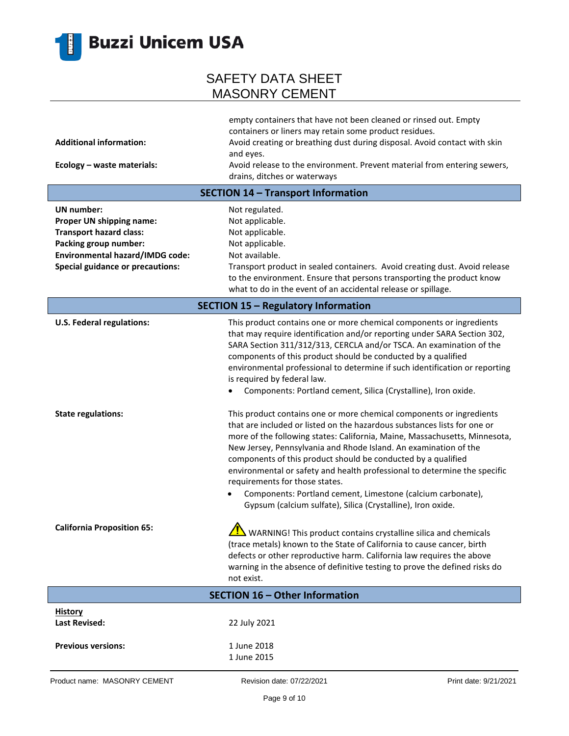

| <b>Additional information:</b><br>Ecology - waste materials:                                                                                                                           | empty containers that have not been cleaned or rinsed out. Empty<br>containers or liners may retain some product residues.<br>Avoid creating or breathing dust during disposal. Avoid contact with skin<br>and eyes.<br>Avoid release to the environment. Prevent material from entering sewers,                                                                                                                                                                                                                                                                                                                 |
|----------------------------------------------------------------------------------------------------------------------------------------------------------------------------------------|------------------------------------------------------------------------------------------------------------------------------------------------------------------------------------------------------------------------------------------------------------------------------------------------------------------------------------------------------------------------------------------------------------------------------------------------------------------------------------------------------------------------------------------------------------------------------------------------------------------|
|                                                                                                                                                                                        | drains, ditches or waterways                                                                                                                                                                                                                                                                                                                                                                                                                                                                                                                                                                                     |
|                                                                                                                                                                                        | <b>SECTION 14 - Transport Information</b>                                                                                                                                                                                                                                                                                                                                                                                                                                                                                                                                                                        |
| <b>UN</b> number:<br>Proper UN shipping name:<br><b>Transport hazard class:</b><br>Packing group number:<br>Environmental hazard/IMDG code:<br><b>Special guidance or precautions:</b> | Not regulated.<br>Not applicable.<br>Not applicable.<br>Not applicable.<br>Not available.<br>Transport product in sealed containers. Avoid creating dust. Avoid release<br>to the environment. Ensure that persons transporting the product know<br>what to do in the event of an accidental release or spillage.                                                                                                                                                                                                                                                                                                |
| <b>SECTION 15 - Regulatory Information</b>                                                                                                                                             |                                                                                                                                                                                                                                                                                                                                                                                                                                                                                                                                                                                                                  |
| <b>U.S. Federal regulations:</b>                                                                                                                                                       | This product contains one or more chemical components or ingredients<br>that may require identification and/or reporting under SARA Section 302,<br>SARA Section 311/312/313, CERCLA and/or TSCA. An examination of the<br>components of this product should be conducted by a qualified<br>environmental professional to determine if such identification or reporting<br>is required by federal law.<br>Components: Portland cement, Silica (Crystalline), Iron oxide.                                                                                                                                         |
| <b>State regulations:</b>                                                                                                                                                              | This product contains one or more chemical components or ingredients<br>that are included or listed on the hazardous substances lists for one or<br>more of the following states: California, Maine, Massachusetts, Minnesota,<br>New Jersey, Pennsylvania and Rhode Island. An examination of the<br>components of this product should be conducted by a qualified<br>environmental or safety and health professional to determine the specific<br>requirements for those states.<br>Components: Portland cement, Limestone (calcium carbonate),<br>Gypsum (calcium sulfate), Silica (Crystalline), Iron oxide. |
| <b>California Proposition 65:</b>                                                                                                                                                      | WARNING! This product contains crystalline silica and chemicals<br>(trace metals) known to the State of California to cause cancer, birth<br>defects or other reproductive harm. California law requires the above<br>warning in the absence of definitive testing to prove the defined risks do<br>not exist.                                                                                                                                                                                                                                                                                                   |
|                                                                                                                                                                                        | <b>SECTION 16 - Other Information</b>                                                                                                                                                                                                                                                                                                                                                                                                                                                                                                                                                                            |
| <b>History</b><br><b>Last Revised:</b>                                                                                                                                                 | 22 July 2021                                                                                                                                                                                                                                                                                                                                                                                                                                                                                                                                                                                                     |
| <b>Previous versions:</b>                                                                                                                                                              | 1 June 2018<br>1 June 2015                                                                                                                                                                                                                                                                                                                                                                                                                                                                                                                                                                                       |